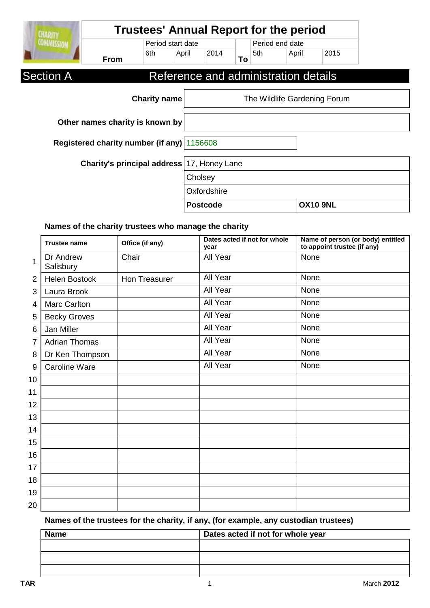| <b>CHARITY</b>    |                                            |                     |       |                 |    |     | <b>Trustees' Annual Report for the period</b> |                 |  |
|-------------------|--------------------------------------------|---------------------|-------|-----------------|----|-----|-----------------------------------------------|-----------------|--|
| <b>COMMISSION</b> |                                            | Period start date   |       |                 |    |     | Period end date                               |                 |  |
|                   | <b>From</b>                                | 6th                 | April | 2014            | To | 5th | April                                         | 2015            |  |
| <b>Section A</b>  |                                            |                     |       |                 |    |     | Reference and administration details          |                 |  |
|                   |                                            | <b>Charity name</b> |       |                 |    |     | The Wildlife Gardening Forum                  |                 |  |
|                   | Other names charity is known by            |                     |       |                 |    |     |                                               |                 |  |
|                   | Registered charity number (if any) 1156608 |                     |       |                 |    |     |                                               |                 |  |
|                   | Charity's principal address 17, Honey Lane |                     |       |                 |    |     |                                               |                 |  |
|                   |                                            |                     |       | Cholsey         |    |     |                                               |                 |  |
|                   |                                            |                     |       | Oxfordshire     |    |     |                                               |                 |  |
|                   |                                            |                     |       | <b>Postcode</b> |    |     |                                               | <b>OX10 9NL</b> |  |

### **Names of the charity trustees who manage the charity**

|                | <b>Trustee name</b>    | Office (if any) | Dates acted if not for whole<br>year | Name of person (or body) entitled<br>to appoint trustee (if any) |
|----------------|------------------------|-----------------|--------------------------------------|------------------------------------------------------------------|
| 1              | Dr Andrew<br>Salisbury | Chair           | All Year                             | None                                                             |
| $\overline{2}$ | <b>Helen Bostock</b>   | Hon Treasurer   | All Year                             | None                                                             |
| 3              | Laura Brook            |                 | All Year                             | None                                                             |
| 4              | Marc Carlton           |                 | All Year                             | None                                                             |
| 5              | <b>Becky Groves</b>    |                 | All Year                             | None                                                             |
| 6              | Jan Miller             |                 | All Year                             | None                                                             |
| 7              | <b>Adrian Thomas</b>   |                 | All Year                             | None                                                             |
| 8              | Dr Ken Thompson        |                 | All Year                             | None                                                             |
| 9              | <b>Caroline Ware</b>   |                 | All Year                             | None                                                             |
| 10             |                        |                 |                                      |                                                                  |
| 11             |                        |                 |                                      |                                                                  |
| 12             |                        |                 |                                      |                                                                  |
| 13             |                        |                 |                                      |                                                                  |
| 14             |                        |                 |                                      |                                                                  |
| 15             |                        |                 |                                      |                                                                  |
| 16             |                        |                 |                                      |                                                                  |
| 17             |                        |                 |                                      |                                                                  |
| 18             |                        |                 |                                      |                                                                  |
| 19             |                        |                 |                                      |                                                                  |
| 20             |                        |                 |                                      |                                                                  |

## **Names of the trustees for the charity, if any, (for example, any custodian trustees)**

| Dates acted if not for whole year |
|-----------------------------------|
|                                   |
|                                   |
|                                   |
|                                   |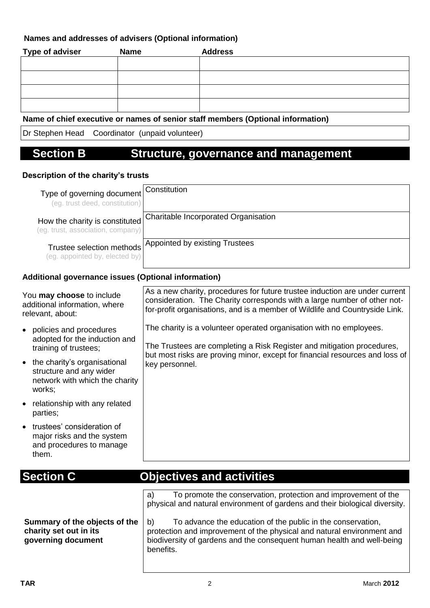#### **Names and addresses of advisers (Optional information)**

| <b>Type of adviser</b> | <b>Name</b> | <b>Address</b> |
|------------------------|-------------|----------------|
|                        |             |                |
|                        |             |                |
|                        |             |                |
|                        |             |                |

#### **Name of chief executive or names of senior staff members (Optional information)**

Dr Stephen Head Coordinator (unpaid volunteer)

# **Section B Structure, governance and management**

#### **Description of the charity's trusts**

| Type of governing document<br>(eg. trust deed, constitution)        | Constitution                         |
|---------------------------------------------------------------------|--------------------------------------|
| How the charity is constituted<br>(eg. trust, association, company) | Charitable Incorporated Organisation |
| Trustee selection methods<br>(eg. appointed by, elected by)         | Appointed by existing Trustees       |

#### **Additional governance issues (Optional information)**

| As a new charity, procedures for future trustee induction are under current<br>consideration. The Charity corresponds with a large number of other not-<br>for-profit organisations, and is a member of Wildlife and Countryside Link.                                                                                                 |
|----------------------------------------------------------------------------------------------------------------------------------------------------------------------------------------------------------------------------------------------------------------------------------------------------------------------------------------|
| The charity is a volunteer operated organisation with no employees.<br>The Trustees are completing a Risk Register and mitigation procedures,<br>but most risks are proving minor, except for financial resources and loss of<br>key personnel.                                                                                        |
| <b>Objectives and activities</b><br>To promote the conservation, protection and improvement of the<br>a)<br>physical and natural environment of gardens and their biological diversity.<br>To advance the education of the public in the conservation,<br>b)<br>protection and improvement of the physical and natural environment and |
|                                                                                                                                                                                                                                                                                                                                        |

benefits.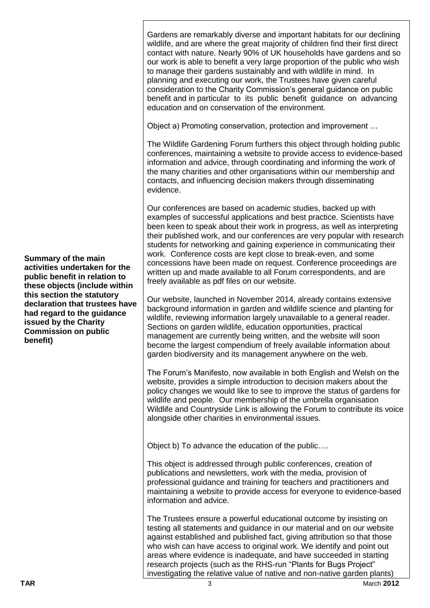Gardens are remarkably diverse and important habitats for our declining wildlife, and are where the great majority of children find their first direct contact with nature. Nearly 90% of UK households have gardens and so our work is able to benefit a very large proportion of the public who wish to manage their gardens sustainably and with wildlife in mind. In planning and executing our work, the Trustees have given careful consideration to the Charity Commission's general guidance on public benefit and in particular to its public benefit guidance on advancing education and on conservation of the environment.

Object a) Promoting conservation, protection and improvement …

The Wildlife Gardening Forum furthers this object through holding public conferences, maintaining a website to provide access to evidence-based information and advice, through coordinating and informing the work of the many charities and other organisations within our membership and contacts, and influencing decision makers through disseminating evidence.

Our conferences are based on academic studies, backed up with examples of successful applications and best practice. Scientists have been keen to speak about their work in progress, as well as interpreting their published work, and our conferences are very popular with research students for networking and gaining experience in communicating their work. Conference costs are kept close to break-even, and some concessions have been made on request. Conference proceedings are written up and made available to all Forum correspondents, and are freely available as pdf files on our website.

Our website, launched in November 2014, already contains extensive background information in garden and wildlife science and planting for wildlife, reviewing information largely unavailable to a general reader. Sections on garden wildlife, education opportunities, practical management are currently being written, and the website will soon become the largest compendium of freely available information about garden biodiversity and its management anywhere on the web.

The Forum's Manifesto, now available in both English and Welsh on the website, provides a simple introduction to decision makers about the policy changes we would like to see to improve the status of gardens for wildlife and people. Our membership of the umbrella organisation Wildlife and Countryside Link is allowing the Forum to contribute its voice alongside other charities in environmental issues.

Object b) To advance the education of the public….

This object is addressed through public conferences, creation of publications and newsletters, work with the media, provision of professional guidance and training for teachers and practitioners and maintaining a website to provide access for everyone to evidence-based information and advice.

The Trustees ensure a powerful educational outcome by insisting on testing all statements and guidance in our material and on our website against established and published fact, giving attribution so that those who wish can have access to original work. We identify and point out areas where evidence is inadequate, and have succeeded in starting research projects (such as the RHS-run "Plants for Bugs Project" investigating the relative value of native and non-native garden plants)

**Summary of the main activities undertaken for the public benefit in relation to these objects (include within this section the statutory declaration that trustees have had regard to the guidance issued by the Charity Commission on public benefit)**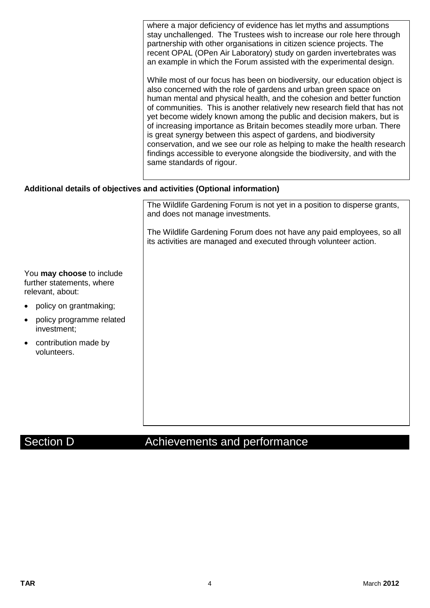|                                                                            | where a major deficiency of evidence has let myths and assumptions<br>stay unchallenged. The Trustees wish to increase our role here through<br>partnership with other organisations in citizen science projects. The<br>recent OPAL (OPen Air Laboratory) study on garden invertebrates was<br>an example in which the Forum assisted with the experimental design.                                                                                                                                                                                                                                                                                                                                              |
|----------------------------------------------------------------------------|-------------------------------------------------------------------------------------------------------------------------------------------------------------------------------------------------------------------------------------------------------------------------------------------------------------------------------------------------------------------------------------------------------------------------------------------------------------------------------------------------------------------------------------------------------------------------------------------------------------------------------------------------------------------------------------------------------------------|
|                                                                            | While most of our focus has been on biodiversity, our education object is<br>also concerned with the role of gardens and urban green space on<br>human mental and physical health, and the cohesion and better function<br>of communities. This is another relatively new research field that has not<br>yet become widely known among the public and decision makers, but is<br>of increasing importance as Britain becomes steadily more urban. There<br>is great synergy between this aspect of gardens, and biodiversity<br>conservation, and we see our role as helping to make the health research<br>findings accessible to everyone alongside the biodiversity, and with the<br>same standards of rigour. |
|                                                                            | Additional details of objectives and activities (Optional information)                                                                                                                                                                                                                                                                                                                                                                                                                                                                                                                                                                                                                                            |
|                                                                            | The Wildlife Gardening Forum is not yet in a position to disperse grants,<br>and does not manage investments.                                                                                                                                                                                                                                                                                                                                                                                                                                                                                                                                                                                                     |
|                                                                            | The Wildlife Gardening Forum does not have any paid employees, so all<br>its activities are managed and executed through volunteer action.                                                                                                                                                                                                                                                                                                                                                                                                                                                                                                                                                                        |
| You may choose to include<br>further statements, where<br>relevant, about: |                                                                                                                                                                                                                                                                                                                                                                                                                                                                                                                                                                                                                                                                                                                   |
| policy on grantmaking;                                                     |                                                                                                                                                                                                                                                                                                                                                                                                                                                                                                                                                                                                                                                                                                                   |
| policy programme related<br>investment;                                    |                                                                                                                                                                                                                                                                                                                                                                                                                                                                                                                                                                                                                                                                                                                   |
| contribution made by<br>volunteers.                                        |                                                                                                                                                                                                                                                                                                                                                                                                                                                                                                                                                                                                                                                                                                                   |
|                                                                            |                                                                                                                                                                                                                                                                                                                                                                                                                                                                                                                                                                                                                                                                                                                   |

# Section D **Achievements** and performance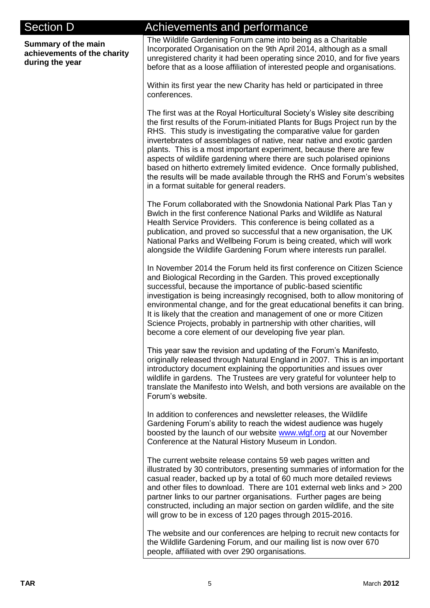| <b>Section D</b>                                                      | Achievements and performance                                                                                                                                                                                                                                                                                                                                                                                                                                                                                                                                                                                                                            |
|-----------------------------------------------------------------------|---------------------------------------------------------------------------------------------------------------------------------------------------------------------------------------------------------------------------------------------------------------------------------------------------------------------------------------------------------------------------------------------------------------------------------------------------------------------------------------------------------------------------------------------------------------------------------------------------------------------------------------------------------|
| Summary of the main<br>achievements of the charity<br>during the year | The Wildlife Gardening Forum came into being as a Charitable<br>Incorporated Organisation on the 9th April 2014, although as a small<br>unregistered charity it had been operating since 2010, and for five years<br>before that as a loose affiliation of interested people and organisations.                                                                                                                                                                                                                                                                                                                                                         |
|                                                                       | Within its first year the new Charity has held or participated in three<br>conferences.                                                                                                                                                                                                                                                                                                                                                                                                                                                                                                                                                                 |
|                                                                       | The first was at the Royal Horticultural Society's Wisley site describing<br>the first results of the Forum-initiated Plants for Bugs Project run by the<br>RHS. This study is investigating the comparative value for garden<br>invertebrates of assemblages of native, near native and exotic garden<br>plants. This is a most important experiment, because there are few<br>aspects of wildlife gardening where there are such polarised opinions<br>based on hitherto extremely limited evidence. Once formally published,<br>the results will be made available through the RHS and Forum's websites<br>in a format suitable for general readers. |
|                                                                       | The Forum collaborated with the Snowdonia National Park Plas Tan y<br>Bwlch in the first conference National Parks and Wildlife as Natural<br>Health Service Providers. This conference is being collated as a<br>publication, and proved so successful that a new organisation, the UK<br>National Parks and Wellbeing Forum is being created, which will work<br>alongside the Wildlife Gardening Forum where interests run parallel.                                                                                                                                                                                                                 |
|                                                                       | In November 2014 the Forum held its first conference on Citizen Science<br>and Biological Recording in the Garden. This proved exceptionally<br>successful, because the importance of public-based scientific<br>investigation is being increasingly recognised, both to allow monitoring of<br>environmental change, and for the great educational benefits it can bring.<br>It is likely that the creation and management of one or more Citizen<br>Science Projects, probably in partnership with other charities, will<br>become a core element of our developing five year plan.                                                                   |
|                                                                       | This year saw the revision and updating of the Forum's Manifesto,<br>originally released through Natural England in 2007. This is an important<br>introductory document explaining the opportunities and issues over<br>wildlife in gardens. The Trustees are very grateful for volunteer help to<br>translate the Manifesto into Welsh, and both versions are available on the<br>Forum's website.                                                                                                                                                                                                                                                     |
|                                                                       | In addition to conferences and newsletter releases, the Wildlife<br>Gardening Forum's ability to reach the widest audience was hugely<br>boosted by the launch of our website www.wlgf.org at our November<br>Conference at the Natural History Museum in London.                                                                                                                                                                                                                                                                                                                                                                                       |
|                                                                       | The current website release contains 59 web pages written and<br>illustrated by 30 contributors, presenting summaries of information for the<br>casual reader, backed up by a total of 60 much more detailed reviews<br>and other files to download. There are 101 external web links and > 200<br>partner links to our partner organisations. Further pages are being<br>constructed, including an major section on garden wildlife, and the site<br>will grow to be in excess of 120 pages through 2015-2016.                                                                                                                                         |
|                                                                       | The website and our conferences are helping to recruit new contacts for<br>the Wildlife Gardening Forum, and our mailing list is now over 670<br>people, affiliated with over 290 organisations.                                                                                                                                                                                                                                                                                                                                                                                                                                                        |